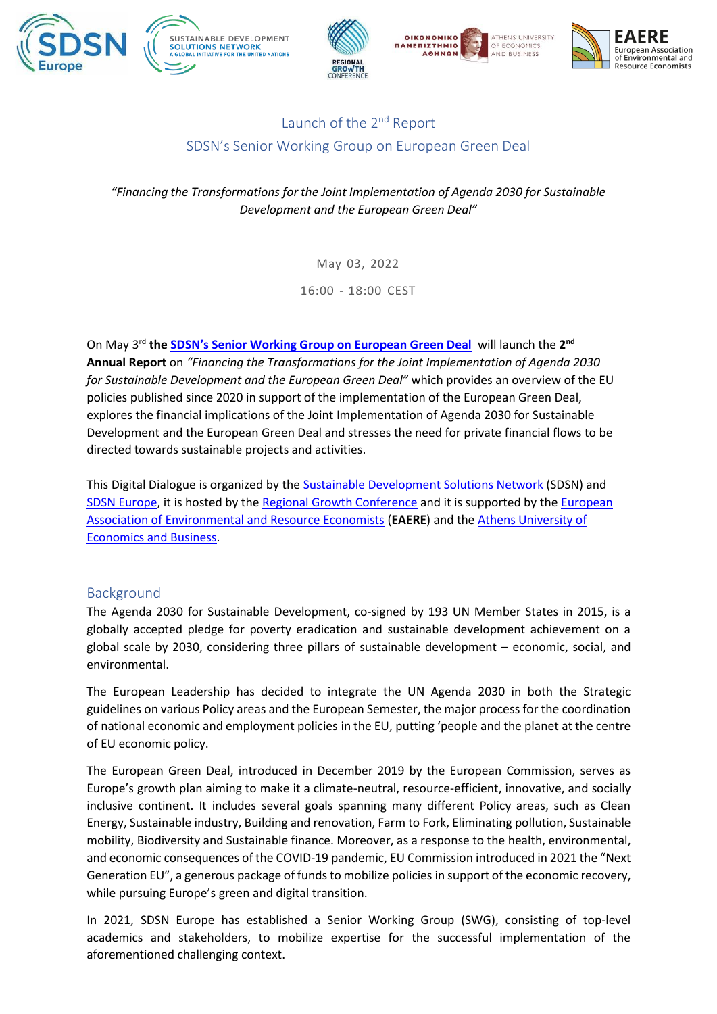









## Launch of the 2<sup>nd</sup> Report SDSN's Senior Working Group on European Green Deal

*"Financing the Transformations for the Joint Implementation of Agenda 2030 for Sustainable Development and the European Green Deal"*

May 03, 2022

16:00 - 18:00 CEST

On May 3rd **the [SDSN's Senior Working Group on European Green Deal](https://sdsn.eu/european-green-deal-senior-working-group/)** will launch the **2 nd Annual Report** on *"Financing the Transformations for the Joint Implementation of Agenda 2030 for Sustainable Development and the European Green Deal"* which provides an overview of the EU policies published since 2020 in support of the implementation of the European Green Deal, explores the financial implications of the Joint Implementation of Agenda 2030 for Sustainable Development and the European Green Deal and stresses the need for private financial flows to be directed towards sustainable projects and activities.

This Digital Dialogue is organized by the [Sustainable Development Solutions Network](https://www.unsdsn.org/) (SDSN) and [SDSN Europe,](https://sdsn.eu/) it is hosted by th[e Regional Growth Conference](https://rgc.gr/) and it is supported by the European [Association of Environmental and Resource Economists](https://www.eaere.org/) (**EAERE**) and th[e Athens University of](https://www.aueb.gr/en)  [Economics and Business.](https://www.aueb.gr/en)

### Background

The Agenda 2030 for Sustainable Development, co-signed by 193 UN Member States in 2015, is a globally accepted pledge for poverty eradication and sustainable development achievement on a global scale by 2030, considering three pillars of sustainable development – economic, social, and environmental.

The European Leadership has decided to integrate the UN Agenda 2030 in both the Strategic guidelines on various Policy areas and the European Semester, the major process for the coordination of national economic and employment policies in the EU, putting 'people and the planet at the centre of EU economic policy.

The European Green Deal, introduced in December 2019 by the European Commission, serves as Europe's growth plan aiming to make it a climate-neutral, resource-efficient, innovative, and socially inclusive continent. It includes several goals spanning many different Policy areas, such as Clean Energy, Sustainable industry, Building and renovation, Farm to Fork, Eliminating pollution, Sustainable mobility, Biodiversity and Sustainable finance. Moreover, as a response to the health, environmental, and economic consequences of the COVID-19 pandemic, EU Commission introduced in 2021 the "Next Generation EU", a generous package of funds to mobilize policies in support of the economic recovery, while pursuing Europe's green and digital transition.

In 2021, SDSN Europe has established a Senior Working Group (SWG), consisting of top-level academics and stakeholders, to mobilize expertise for the successful implementation of the aforementioned challenging context.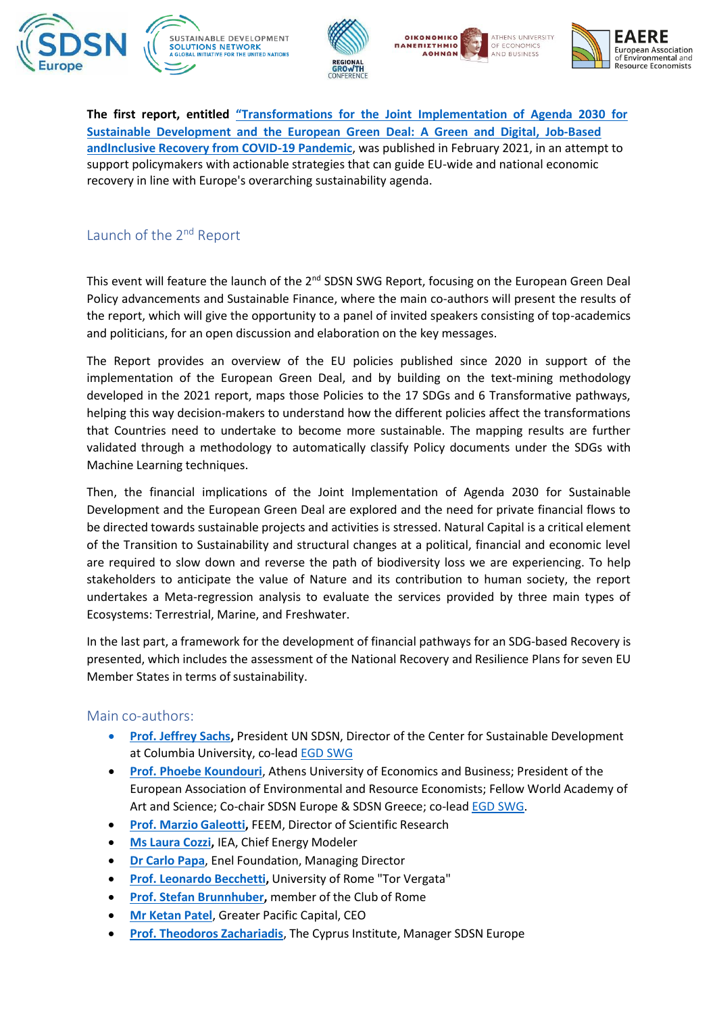









**The first report, entitled "Transformations for the Joint [Implementation](https://resources.unsdsn.org/transformations-for-the-joint-implementation-of-agenda-2030-the-sustainable-development-goals-and-the-european-green-deal-a-green-and-digital-job-based-and-inclusive-recovery-from-covid-19-pandemic) of Agenda 2030 for Sustainable [Development](https://resources.unsdsn.org/transformations-for-the-joint-implementation-of-agenda-2030-the-sustainable-development-goals-and-the-european-green-deal-a-green-and-digital-job-based-and-inclusive-recovery-from-covid-19-pandemic) and the European Green Deal: A Green and Digital, Job-Based [andInclusive Recovery from COVID-19 Pandemic](https://resources.unsdsn.org/transformations-for-the-joint-implementation-of-agenda-2030-the-sustainable-development-goals-and-the-european-green-deal-a-green-and-digital-job-based-and-inclusive-recovery-from-covid-19-pandemic)**, was published in February 2021, in an attempt to support policymakers with actionable strategies that can guide EU-wide and national economic recovery in line with Europe's overarching sustainability agenda.

## Launch of the 2<sup>nd</sup> Report

This event will feature the launch of the  $2<sup>nd</sup>$  SDSN SWG Report, focusing on the European Green Deal Policy advancements and Sustainable Finance, where the main co-authors will present the results of the report, which will give the opportunity to a panel of invited speakers consisting of top-academics and politicians, for an open discussion and elaboration on the key messages.

The Report provides an overview of the EU policies published since 2020 in support of the implementation of the European Green Deal, and by building on the text-mining methodology developed in the 2021 report, maps those Policies to the 17 SDGs and 6 Transformative pathways, helping this way decision-makers to understand how the different policies affect the transformations that Countries need to undertake to become more sustainable. The mapping results are further validated through a methodology to automatically classify Policy documents under the SDGs with Machine Learning techniques.

Then, the financial implications of the Joint Implementation of Agenda 2030 for Sustainable Development and the European Green Deal are explored and the need for private financial flows to be directed towards sustainable projects and activities is stressed. Natural Capital is a critical element of the Transition to Sustainability and structural changes at a political, financial and economic level are required to slow down and reverse the path of biodiversity loss we are experiencing. To help stakeholders to anticipate the value of Nature and its contribution to human society, the report undertakes a Meta-regression analysis to evaluate the services provided by three main types of Ecosystems: Terrestrial, Marine, and Freshwater.

In the last part, a framework for the development of financial pathways for an SDG-based Recovery is presented, which includes the assessment of the National Recovery and Resilience Plans for seven EU Member States in terms of sustainability.

#### Main co-authors:

- **[Prof. Jeffrey Sachs,](https://www.jeffsachs.org/)** President UN SDSN, Director of the Center for Sustainable Development at Columbia University, co-lead EGD [SWG](https://sdsn.eu/european-green-deal-senior-working-group/)
- **[Prof. Phoebe Koundouri](https://phoebekoundouri.org/)**, Athens University of Economics and Business; President of the European Association of Environmental and Resource Economists; Fellow World Academy of Art and Science; Co-chair SDSN Europe & SDSN Greece; co-lead **EGD SWG**.
- **Prof. Marzio [Galeotti,](https://www.feem.it/en/people/galeotti-marzio/)** FEEM, Director of Scientific Research
- **Ms Laura [Cozzi,](https://www.iea.org/contributors/laura-cozzi)** IEA, Chief Energy Modeler
- **Dr [Carlo](https://www.enelfoundation.org/about-us/team/carlo-papa) Papa**, Enel Foundation, Managing Director
- **Prof. Leonardo [Becchetti,](https://economia.uniroma2.it/faculty/148/becchetti-leonardo)** University of Rome "Tor Vergata"
- **Prof. Stefan [Brunnhuber,](https://www.clubofrome.org/member/brunnhuber-stefan/)** member of the Club of Rome
- **Mr [Ketan](https://www.greaterpacificcapital.com/team-inside/1-ketan-patel) Patel**, Greater Pacific Capital, CEO
- **Prof. Theodoros [Zachariadis](https://www.cyi.ac.cy/index.php/eewrc/about-the-center/eewrc-our-people/author/1103-theodoros-zachariadis.html)**, The Cyprus Institute, Manager SDSN Europe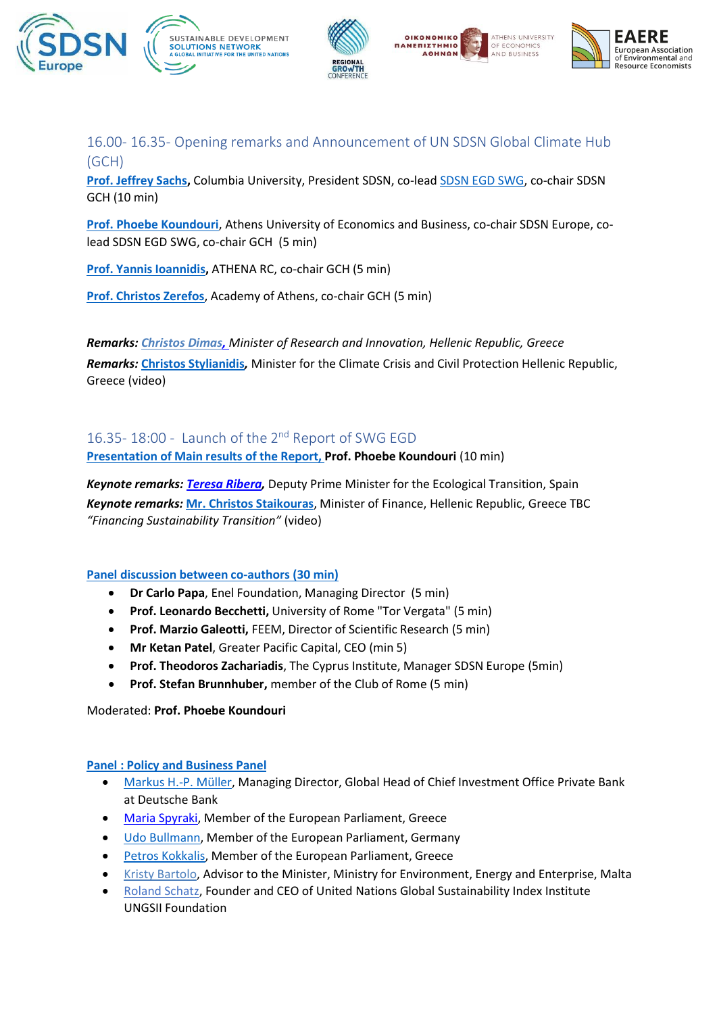







16.00- 16.35- Opening remarks and Announcement of UN SDSN Global Climate Hub (GCH)

**[Prof. Jeffrey Sachs,](https://www.jeffsachs.org/)** Columbia University, President SDSN, co-lea[d SDSN EGD SWG, c](https://sdsn.eu/european-green-deal-senior-working-group/)o-chair SDSN GCH (10 min)

**[Prof. Phoebe Koundouri](https://phoebekoundouri.org/)**, Athens University of Economics and Business, co-chair SDSN Europe, colead SDSN EGD SWG, co-chair GCH (5 min)

**Prof. Yannis [Ioannidis,](https://www.linkedin.com/in/yannis-ioannidis-b718a78/?originalSubdomain=gr)** ATHENA RC, co-chair GCH (5 min)

**Prof. [Christos](http://www.christoszerefos.com/) Zerefos**, Academy of Athens, co-chair GCH (5 min)

*Remarks: [Christos Dimas,](https://www.mindev.gov.gr/christos-dimas-yfypourgos/) Minister of Research and Innovation, Hellenic Republic, Greece Remarks:* **[Christos Stylianidis](https://www.civilprotection.gr/en/ministeren)***,* Minister for the Climate Crisis and Civil Protection Hellenic Republic, Greece (video)

# 16.35-18:00 - Launch of the 2<sup>nd</sup> Report of SWG EGD

**Presentation of Main results of the Report, Prof. Phoebe Koundouri** (10 min)

*Keynote remarks: [Teresa Ribera,](https://www.miteco.gob.es/es/ministerio/funciones-estructura/organigrama/Ministra-MITECO.aspx)* Deputy Prime Minister for the Ecological Transition, Spain *Keynote remarks:* **[Mr. Christos](https://www.hellenicparliament.gr/en/Vouleftes/Viografika-Stoicheia/?MPId=90fe5363-5352-45b5-8e6a-3b1edde88073) Staikouras**, Minister of Finance, Hellenic Republic, Greece TBC *"Financing Sustainability Transition"* (video)

#### **Panel discussion between co-authors (30 min)**

- **Dr Carlo Papa**, Enel Foundation, Managing Director (5 min)
- **Prof. Leonardo Becchetti,** University of Rome "Tor Vergata" (5 min)
- **Prof. Marzio Galeotti,** FEEM, Director of Scientific Research (5 min)
- **Mr Ketan Patel**, Greater Pacific Capital, CEO (min 5)
- **Prof. Theodoros Zachariadis**, The Cyprus Institute, Manager SDSN Europe (5min)
- **Prof. Stefan Brunnhuber,** member of the Club of Rome (5 min)

Moderated: **Prof. Phoebe Koundouri**

#### **Panel : Policy and Business Panel**

- [Markus H.-P. Müller, M](https://www.linkedin.com/in/markus-h-p-m%C3%BCller-20a6a082/?originalSubdomain=de)anaging Director, Global Head of Chief Investment Office Private Bank at Deutsche Bank
- [Maria Spyraki,](https://www.europarl.europa.eu/meps/en/125064/MARIA_SPYRAKI/home) Member of the European Parliament, Greece
- Udo [Bullmann,](https://www.europarl.europa.eu/meps/en/4267/UDO_BULLMANN/home) Member of the European Parliament, Germany
- **Petros [Kokkalis,](https://www.europarl.europa.eu/meps/en/197743/PETROS_KOKKALIS/home) Member of the European Parliament, Greece**
- [Kristy Bartolo,](https://www.linkedin.com/in/kristy-bartolo-753a98105/?originalSubdomain=mt) Advisor to the Minister, Ministry for Environment, Energy and Enterprise, Malta
- [Roland Schatz, F](http://us.mediatenor.com/en/)ounder and CEO of United Nations Global Sustainability Index Institute UNGSII Foundation